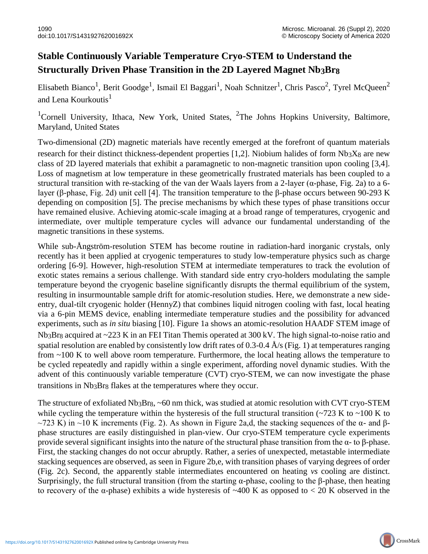## **Stable Continuously Variable Temperature Cryo-STEM to Understand the Structurally Driven Phase Transition in the 2D Layered Magnet Nb3Br8**

Elisabeth Bianco<sup>1</sup>, Berit Goodge<sup>1</sup>, Ismail El Baggari<sup>1</sup>, Noah Schnitzer<sup>1</sup>, Chris Pasco<sup>2</sup>, Tyrel McQueen<sup>2</sup> and Lena Kourkoutis $<sup>1</sup>$ </sup>

<sup>1</sup>Cornell University, Ithaca, New York, United States, <sup>2</sup>The Johns Hopkins University, Baltimore, Maryland, United States

Two-dimensional (2D) magnetic materials have recently emerged at the forefront of quantum materials research for their distinct thickness-dependent properties [1,2]. Niobium halides of form  $Nb_3X_8$  are new class of 2D layered materials that exhibit a paramagnetic to non-magnetic transition upon cooling [3,4]. Loss of magnetism at low temperature in these geometrically frustrated materials has been coupled to a structural transition with re-stacking of the van der Waals layers from a 2-layer ( $\alpha$ -phase, Fig. 2a) to a 6layer (β-phase, Fig. 2d) unit cell [4]. The transition temperature to the β-phase occurs between 90-293 K depending on composition [5]. The precise mechanisms by which these types of phase transitions occur have remained elusive. Achieving atomic-scale imaging at a broad range of temperatures, cryogenic and intermediate, over multiple temperature cycles will advance our fundamental understanding of the magnetic transitions in these systems.

While sub-Ångström-resolution STEM has become routine in radiation-hard inorganic crystals, only recently has it been applied at cryogenic temperatures to study low-temperature physics such as charge ordering [6-9]. However, high-resolution STEM at intermediate temperatures to track the evolution of exotic states remains a serious challenge. With standard side entry cryo-holders modulating the sample temperature beyond the cryogenic baseline significantly disrupts the thermal equilibrium of the system, resulting in insurmountable sample drift for atomic-resolution studies. Here, we demonstrate a new sideentry, dual-tilt cryogenic holder (HennyZ) that combines liquid nitrogen cooling with fast, local heating via a 6-pin MEMS device, enabling intermediate temperature studies and the possibility for advanced experiments, such as *in situ* biasing [10]. Figure 1a shows an atomic-resolution HAADF STEM image of Nb3Br8 acquired at ~223 K in an FEI Titan Themis operated at 300 kV. The high signal-to-noise ratio and spatial resolution are enabled by consistently low drift rates of 0.3-0.4  $\AA$ /s (Fig. 1) at temperatures ranging from ~100 K to well above room temperature. Furthermore, the local heating allows the temperature to be cycled repeatedly and rapidly within a single experiment, affording novel dynamic studies. With the advent of this continuously variable temperature (CVT) cryo-STEM, we can now investigate the phase transitions in Nb3Br8 flakes at the temperatures where they occur.

The structure of exfoliated Nb3Br8, ~60 nm thick, was studied at atomic resolution with CVT cryo-STEM while cycling the temperature within the hysteresis of the full structural transition  $\sim$ 723 K to  $\sim$ 100 K to  $\sim$ 723 K) in  $\sim$ 10 K increments (Fig. 2). As shown in Figure 2a,d, the stacking sequences of the  $\alpha$ - and  $\beta$ phase structures are easily distinguished in plan-view. Our cryo-STEM temperature cycle experiments provide several significant insights into the nature of the structural phase transition from the α- to β-phase. First, the stacking changes do not occur abruptly. Rather, a series of unexpected, metastable intermediate stacking sequences are observed, as seen in Figure 2b,e, with transition phases of varying degrees of order (Fig. 2c). Second, the apparently stable intermediates encountered on heating *vs* cooling are distinct. Surprisingly, the full structural transition (from the starting  $\alpha$ -phase, cooling to the β-phase, then heating to recovery of the α-phase) exhibits a wide hysteresis of ~400 K as opposed to < 20 K observed in the

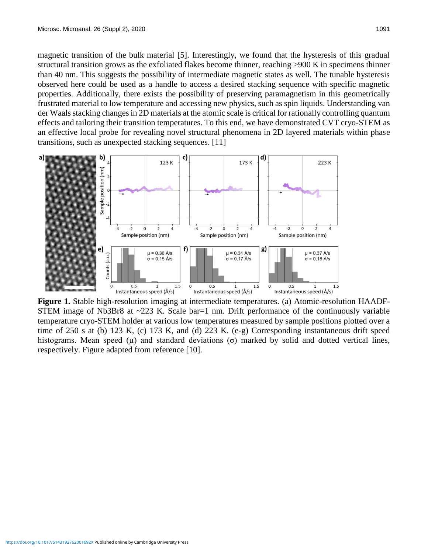magnetic transition of the bulk material [5]. Interestingly, we found that the hysteresis of this gradual structural transition grows as the exfoliated flakes become thinner, reaching >900 K in specimens thinner than 40 nm. This suggests the possibility of intermediate magnetic states as well. The tunable hysteresis observed here could be used as a handle to access a desired stacking sequence with specific magnetic properties. Additionally, there exists the possibility of preserving paramagnetism in this geometrically frustrated material to low temperature and accessing new physics, such as spin liquids. Understanding van der Waals stacking changes in 2D materials at the atomic scale is critical for rationally controlling quantum effects and tailoring their transition temperatures. To this end, we have demonstrated CVT cryo-STEM as an effective local probe for revealing novel structural phenomena in 2D layered materials within phase transitions, such as unexpected stacking sequences. [11]



**Figure 1.** Stable high-resolution imaging at intermediate temperatures. (a) Atomic-resolution HAADF-STEM image of Nb3Br8 at  $\sim$ 223 K. Scale bar=1 nm. Drift performance of the continuously variable temperature cryo-STEM holder at various low temperatures measured by sample positions plotted over a time of 250 s at (b) 123 K, (c) 173 K, and (d) 223 K. (e-g) Corresponding instantaneous drift speed histograms. Mean speed  $(\mu)$  and standard deviations  $(\sigma)$  marked by solid and dotted vertical lines, respectively. Figure adapted from reference [10].